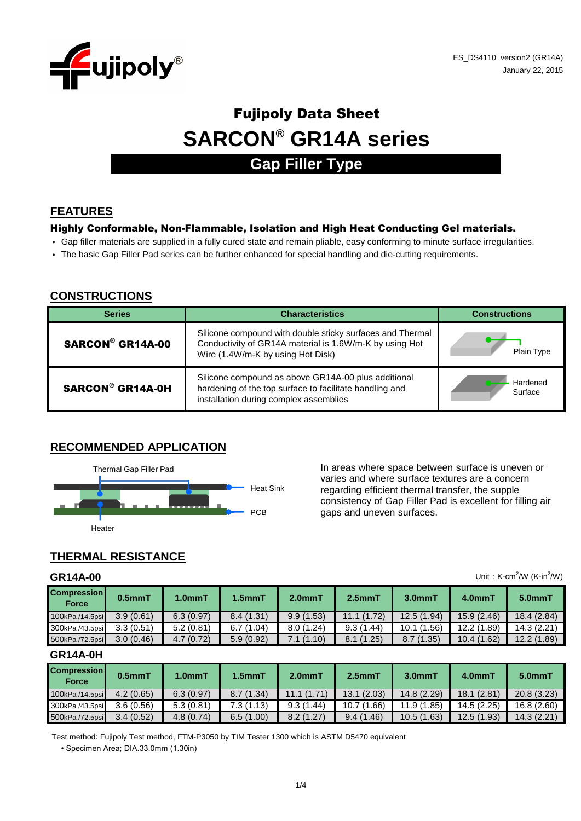

# **SARCON® GR14A series** Fujipoly Data Sheet

## **Gap Filler Type**

## **FEATURES**

#### Highly Conformable, Non-Flammable, Isolation and High Heat Conducting Gel materials.

- Gap filler materials are supplied in a fully cured state and remain pliable, easy conforming to minute surface irregularities.
- The basic Gap Filler Pad series can be further enhanced for special handling and die-cutting requirements.

#### **CONSTRUCTIONS**

| <b>Series</b>           | <b>Characteristics</b>                                                                                                                                    | <b>Constructions</b> |  |  |
|-------------------------|-----------------------------------------------------------------------------------------------------------------------------------------------------------|----------------------|--|--|
| <b>SARCON® GR14A-00</b> | Silicone compound with double sticky surfaces and Thermal<br>Conductivity of GR14A material is 1.6W/m-K by using Hot<br>Wire (1.4W/m-K by using Hot Disk) | Plain Type           |  |  |
| <b>SARCON® GR14A-0H</b> | Silicone compound as above GR14A-00 plus additional<br>hardening of the top surface to facilitate handling and<br>installation during complex assemblies  | Hardened<br>Surface  |  |  |

#### **RECOMMENDED APPLICATION**



In areas where space between surface is uneven or varies and where surface textures are a concern regarding efficient thermal transfer, the supple consistency of Gap Filler Pad is excellent for filling air gaps and uneven surfaces.

## **THERMAL RESISTANCE**

#### **GR14A-00**

| Unit: $K-cm^2/W$ ( $K-in^2/W$ )<br>GR14A-00 |              |                     |              |           |              |            |             |            |
|---------------------------------------------|--------------|---------------------|--------------|-----------|--------------|------------|-------------|------------|
| <b>Compression</b><br><b>Force</b>          | $0.5$ mm $T$ | 1.0 <sub>mm</sub> T | $1.5$ mm $T$ | $2.0mm$ T | $2.5$ mm $T$ | $3.0mm$ T  | 4.0mmT      | $5.0mm$ T  |
| 100kPa /14.5psi                             | 3.9(0.61)    | 6.3(0.97)           | 8.4(1.31)    | 9.9(1.53) | 11.1(1.72)   | 12.5(1.94) | 15.9(2.46)  | 18.4(2.84) |
| 300kPa /43.5psi                             | 3.3(0.51)    | 5.2(0.81)           | 6.7(1.04)    | 8.0(1.24) | 9.3(1.44)    | 10.1(1.56) | 12.2 (1.89) | 14.3(2.21) |
| 500kPa /72.5psi                             | 3.0(0.46)    | 4.7(0.72)           | 5.9(0.92)    | 7.1(1.10) | 8.1(1.25)    | 8.7(1.35)  | 10.4(1.62)  | 12.2(1.89) |

#### **GR14A-0H**

| <b>Compression</b><br>Force | $0.5mm$ T | $1.0mm$ T | $1.5mm$ T | $2.0mm$ T  | $2.5mm$ T       | 3.0mmT      | 4.0mmT      | 5.0mmT      |
|-----------------------------|-----------|-----------|-----------|------------|-----------------|-------------|-------------|-------------|
| 100kPa /14.5psi             | 4.2(0.65) | 6.3(0.97) | 8.7(1.34) | 11.1(1.71) | 13.1(2.03)      | 14.8 (2.29) | 18.1 (2.81) | 20.8(3.23)  |
| 300kPa /43.5psi             | 3.6(0.56) | 5.3(0.81) | 7.3(1.13) | 9.3(1.44)  | .66)<br>10.7(1) | 11.9(1.85)  | 14.5 (2.25) | 16.8 (2.60) |
| 500kPa /72.5psi             | 3.4(0.52) | 4.8(0.74) | 6.5(1.00) | 8.2(1.27)  | 9.4(1.46)       | 10.5(1.63)  | 12.5(1.93)  | 14.3(2.21)  |

• Specimen Area; DIA.33.0mm (1.30in) Test method: Fujipoly Test method, FTM-P3050 by TIM Tester 1300 which is ASTM D5470 equivalent

1/4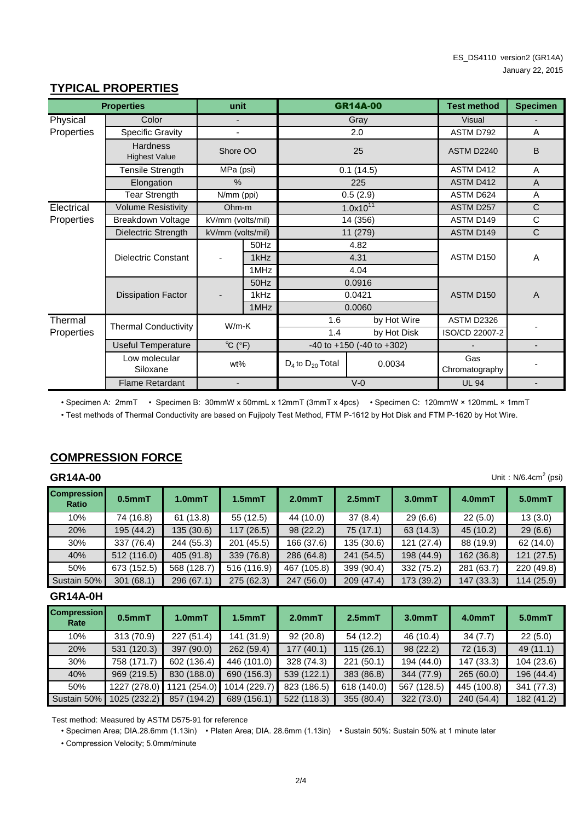#### **TYPICAL PROPERTIES**

|            | <b>Properties</b>                                                                               | unit              |          |                         | <b>GR14A-00</b> | <b>Test method</b>    | <b>Specimen</b> |
|------------|-------------------------------------------------------------------------------------------------|-------------------|----------|-------------------------|-----------------|-----------------------|-----------------|
| Physical   | Color                                                                                           |                   |          |                         | Gray            | <b>Visual</b>         |                 |
| Properties | <b>Specific Gravity</b>                                                                         | L                 |          |                         | 2.0             | ASTM D792             | A               |
|            | <b>Hardness</b><br><b>Highest Value</b>                                                         |                   | Shore OO |                         | 25              |                       | B               |
|            | <b>Tensile Strength</b>                                                                         | MPa (psi)         |          |                         | 0.1(14.5)       | ASTM D412             | A               |
|            | Elongation                                                                                      | $\frac{0}{0}$     |          |                         | 225             | ASTM D412             | A               |
|            | <b>Tear Strength</b>                                                                            | N/mm (ppi)        |          |                         | 0.5(2.9)        | ASTM D624             | A               |
| Electrical | <b>Volume Resistivity</b>                                                                       | Ohm-m             |          |                         | $1.0x10^{11}$   | ASTM D257             | $\mathsf{C}$    |
| Properties | Breakdown Voltage                                                                               | kV/mm (volts/mil) |          |                         | 14 (356)        | ASTM D149             | C               |
|            | Dielectric Strength                                                                             | kV/mm (volts/mil) |          |                         | 11 (279)        | ASTM D149             | $\mathsf{C}$    |
|            |                                                                                                 |                   | 50Hz     |                         | 4.82            |                       |                 |
|            | <b>Dielectric Constant</b>                                                                      | 1kHz              |          |                         | 4.31            | ASTM D150             | $\overline{A}$  |
|            |                                                                                                 |                   | 1MHz     |                         | 4.04            |                       |                 |
|            |                                                                                                 |                   | 50Hz     |                         | 0.0916          |                       |                 |
|            | <b>Dissipation Factor</b>                                                                       |                   | 1kHz     |                         | 0.0421          | ASTM D150             | $\overline{A}$  |
|            |                                                                                                 |                   | 1MHz     |                         | 0.0060          |                       |                 |
| Thermal    | <b>Thermal Conductivity</b>                                                                     | $W/m-K$           |          | 1.6                     | by Hot Wire     | ASTM D2326            |                 |
| Properties |                                                                                                 |                   |          | 1.4                     | by Hot Disk     | ISO/CD 22007-2        |                 |
|            | $^{\circ}C$ ( $^{\circ}F$ )<br><b>Useful Temperature</b><br>$-40$ to $+150$ ( $-40$ to $+302$ ) |                   |          | ÷,                      |                 |                       |                 |
|            | Low molecular<br>Siloxane                                                                       | wt%               |          | $D_4$ to $D_{20}$ Total | 0.0034          | Gas<br>Chromatography |                 |
|            | <b>Flame Retardant</b>                                                                          | $\blacksquare$    |          |                         | $V-0$           | <b>UL 94</b>          |                 |

• Specimen A: 2mmT • Specimen B: 30mmW x 50mmL x 12mmT (3mmT x 4pcs) • Specimen C: 120mmW × 120mmL × 1mmT

• Test methods of Thermal Conductivity are based on Fujipoly Test Method, FTM P-1612 by Hot Disk and FTM P-1620 by Hot Wire.

### **COMPRESSION FORCE**

## **GR14A-00**

| Unit: $N/6.4cm2$ (psi)<br><b>GR14A-00</b> |             |                     |              |             |            |            |            |            |
|-------------------------------------------|-------------|---------------------|--------------|-------------|------------|------------|------------|------------|
| <b>Compression</b><br><b>Ratio</b>        | $0.5mm$ T   | 1.0 <sub>mm</sub> T | $1.5$ mm $T$ | $2.0mm$ T   | $2.5mm$ T  | $3.0mm$ T  | 4.0mmT     | $5.0mm$ T  |
| 10%                                       | 74 (16.8)   | 61(13.8)            | 55 (12.5)    | 44 (10.0)   | 37(8.4)    | 29(6.6)    | 22(5.0)    | 13(3.0)    |
| 20%                                       | 195 (44.2)  | 135 (30.6)          | 117(26.5)    | 98 (22.2)   | 75(17.1)   | 63(14.3)   | 45 (10.2)  | 29(6.6)    |
| 30%                                       | 337 (76.4)  | 244 (55.3)          | 201 (45.5)   | 166 (37.6)  | 135 (30.6) | 121(27.4)  | 88 (19.9)  | 62(14.0)   |
| 40%                                       | 512 (116.0) | 405 (91.8)          | 339 (76.8)   | 286 (64.8)  | 241 (54.5) | 198 (44.9) | 162 (36.8) | 121(27.5)  |
| 50%                                       | 673 (152.5) | 568 (128.7)         | 516 (116.9)  | 467 (105.8) | 399 (90.4) | 332 (75.2) | 281 (63.7) | 220 (49.8) |
| Sustain 50%                               | 301(68.1)   | 296 (67.1)          | 275 (62.3)   | 247 (56.0)  | 209 (47.4) | 173 (39.2) | 147(33.3)  | 114(25.9)  |

#### **GR14A-0H**

| <b>Compression</b><br>Rate | 0.5 <sub>mm</sub> T | 1.0 <sub>mm</sub> T | $1.5$ mm $T$ | 2.0 <sub>mm</sub> T | 2.5 <sub>mm</sub> T | $3.0mm$ T   | 4.0mmT      | $5.0mm$ T  |
|----------------------------|---------------------|---------------------|--------------|---------------------|---------------------|-------------|-------------|------------|
| 10%                        | 313 (70.9)          | 227(51.4)           | 141 (31.9)   | 92(20.8)            | 54 (12.2)           | 46 (10.4)   | 34(7.7)     | 22(5.0)    |
| 20%                        | 531 (120.3)         | 397 (90.0)          | 262 (59.4)   | 177(40.1)           | 115(26.1)           | 98(22.2)    | 72 (16.3)   | 49(11.1)   |
| 30%                        | 758 (171.7)         | 602 (136.4)         | 446 (101.0)  | 328 (74.3)          | 221(50.1)           | 194 (44.0)  | 147 (33.3)  | 104 (23.6) |
| 40%                        | 969 (219.5)         | 830 (188.0)         | 690 (156.3)  | 539 (122.1)         | 383 (86.8)          | 344 (77.9)  | 265(60.0)   | 196 (44.4) |
| 50%                        | 1227 (278.0)        | 1121 (254.0)        | 1014 (229.7) | 823 (186.5)         | 618 (140.0)         | 567 (128.5) | 445 (100.8) | 341 (77.3) |
| Sustain 50%                | 1025 (232.2)        | 857 (194.2)         | 689 (156.1)  | 522 (118.3)         | 355 (80.4)          | 322 (73.0)  | 240 (54.4)  | 182 (41.2) |

Test method: Measured by ASTM D575-91 for reference

• Specimen Area; DIA.28.6mm (1.13in) • Platen Area; DIA. 28.6mm (1.13in) • Sustain 50%: Sustain 50% at 1 minute later

• Compression Velocity; 5.0mm/minute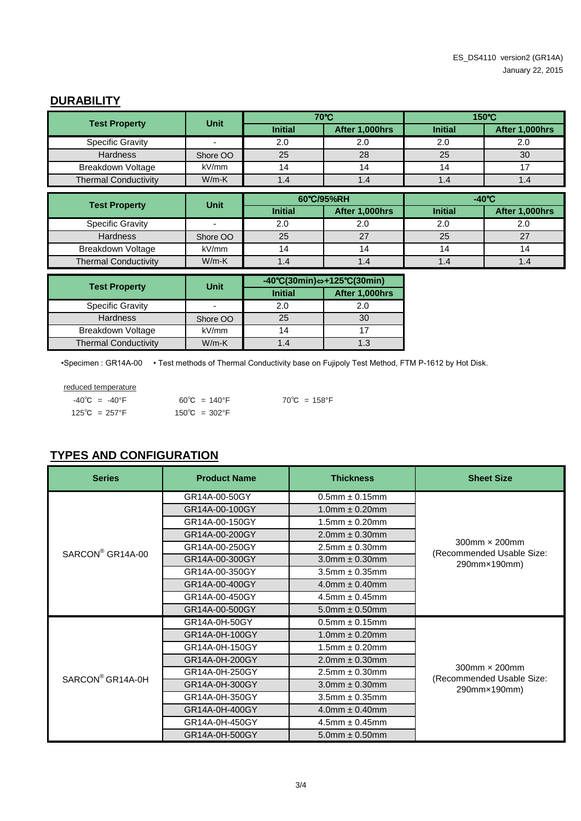#### **DURABILITY**

| <b>Test Property</b>        | <b>Unit</b>              |                | 70°C                                                                     | 150°C           |                |  |  |
|-----------------------------|--------------------------|----------------|--------------------------------------------------------------------------|-----------------|----------------|--|--|
|                             |                          | <b>Initial</b> | After 1,000hrs                                                           | <b>Initial</b>  | After 1,000hrs |  |  |
| <b>Specific Gravity</b>     | $\overline{\phantom{0}}$ | 2.0            | 2.0                                                                      | 2.0             | 2.0            |  |  |
| <b>Hardness</b>             | Shore OO                 | 25             | 28                                                                       | 25              | 30             |  |  |
| Breakdown Voltage           | kV/mm                    | 14             | 14                                                                       | 14              | 17             |  |  |
| <b>Thermal Conductivity</b> | $W/m-K$                  | 1.4            | 1.4                                                                      | 1.4             | 1.4            |  |  |
|                             |                          |                |                                                                          |                 |                |  |  |
| <b>Test Property</b>        | <b>Unit</b>              |                | 60°C/95%RH                                                               | $-40^{\circ}$ C |                |  |  |
|                             |                          | <b>Initial</b> | After 1,000hrs                                                           | <b>Initial</b>  | After 1,000hrs |  |  |
| <b>Specific Gravity</b>     | $\blacksquare$           | 2.0            | 2.0                                                                      | 2.0             | 2.0            |  |  |
| <b>Hardness</b>             | Shore OO                 | 25             | 27                                                                       | 25              | 27             |  |  |
| Breakdown Voltage           | kV/mm                    | 14             | 14                                                                       | 14              | 14             |  |  |
| <b>Thermal Conductivity</b> | $W/m-K$                  | 1.4            | 1.4                                                                      | 1.4             | 1.4            |  |  |
|                             |                          |                |                                                                          |                 |                |  |  |
| <b>Test Property</b>        | <b>Unit</b>              |                | $-40^{\circ}C(30\text{min}) \Leftrightarrow +125^{\circ}C(30\text{min})$ |                 |                |  |  |
|                             |                          | Initial        | After 1 000hrs                                                           |                 |                |  |  |

|                             | <b>Unit</b>              | $\sim$ 0.00.000 $\sim$ 0.000 $\sim$ 0.000 $\sim$ |                |  |  |
|-----------------------------|--------------------------|--------------------------------------------------|----------------|--|--|
| <b>Test Property</b>        |                          | <b>Initial</b>                                   | After 1,000hrs |  |  |
| <b>Specific Gravity</b>     | $\overline{\phantom{0}}$ | 2.0                                              | 2.0            |  |  |
| <b>Hardness</b>             | Shore OO                 | 25                                               | 30             |  |  |
| <b>Breakdown Voltage</b>    | kV/mm                    | 14                                               |                |  |  |
| <b>Thermal Conductivity</b> | $W/m-K$                  | 1.4                                              | 1.3            |  |  |

•Specimen : GR14A-00 • Test methods of Thermal Conductivity base on Fujipoly Test Method, FTM P-1612 by Hot Disk.

| reduced temperature               |                         |                        |
|-----------------------------------|-------------------------|------------------------|
| $-40^{\circ}$ C = $-40^{\circ}$ F | $60^{\circ}$ C = 140°F  | $70^{\circ}$ C = 158°F |
| $125^{\circ}$ C = 257°F           | $150^{\circ}$ C = 302°F |                        |

#### **TYPES AND CONFIGURATION**

| <b>Series</b>                | <b>Product Name</b> | <b>Thickness</b>       | <b>Sheet Size</b>                                    |  |
|------------------------------|---------------------|------------------------|------------------------------------------------------|--|
|                              | GR14A-00-50GY       | $0.5$ mm $\pm 0.15$ mm |                                                      |  |
|                              | GR14A-00-100GY      | $1.0$ mm $\pm 0.20$ mm |                                                      |  |
|                              | GR14A-00-150GY      | $1.5$ mm $\pm 0.20$ mm |                                                      |  |
|                              | GR14A-00-200GY      | $2.0$ mm $\pm$ 0.30mm  |                                                      |  |
| SARCON <sup>®</sup> GR14A-00 | GR14A-00-250GY      | $2.5$ mm $\pm 0.30$ mm | $300$ mm $\times$ 200mm<br>(Recommended Usable Size: |  |
|                              | GR14A-00-300GY      | $3.0$ mm $\pm 0.30$ mm | 290mm×190mm)                                         |  |
|                              | GR14A-00-350GY      | $3.5$ mm $\pm 0.35$ mm |                                                      |  |
|                              | GR14A-00-400GY      | $4.0$ mm $\pm 0.40$ mm |                                                      |  |
|                              | GR14A-00-450GY      | $4.5$ mm $\pm 0.45$ mm |                                                      |  |
|                              | GR14A-00-500GY      | $5.0$ mm $\pm 0.50$ mm |                                                      |  |
|                              | GR14A-0H-50GY       | $0.5$ mm $\pm 0.15$ mm |                                                      |  |
|                              | GR14A-0H-100GY      | $1.0$ mm $\pm 0.20$ mm |                                                      |  |
|                              | GR14A-0H-150GY      | $1.5$ mm $\pm 0.20$ mm |                                                      |  |
|                              | GR14A-0H-200GY      | $2.0$ mm $\pm 0.30$ mm |                                                      |  |
| SARCON <sup>®</sup> GR14A-0H | GR14A-0H-250GY      | $2.5$ mm $\pm 0.30$ mm | $300$ mm $\times$ 200mm                              |  |
|                              | GR14A-0H-300GY      | $3.0$ mm $\pm 0.30$ mm | (Recommended Usable Size:<br>290mm×190mm)            |  |
|                              | GR14A-0H-350GY      | $3.5$ mm $\pm 0.35$ mm |                                                      |  |
|                              | GR14A-0H-400GY      | $4.0$ mm $\pm 0.40$ mm |                                                      |  |
|                              | GR14A-0H-450GY      | $4.5$ mm $\pm 0.45$ mm |                                                      |  |
|                              | GR14A-0H-500GY      | $5.0$ mm $\pm 0.50$ mm |                                                      |  |